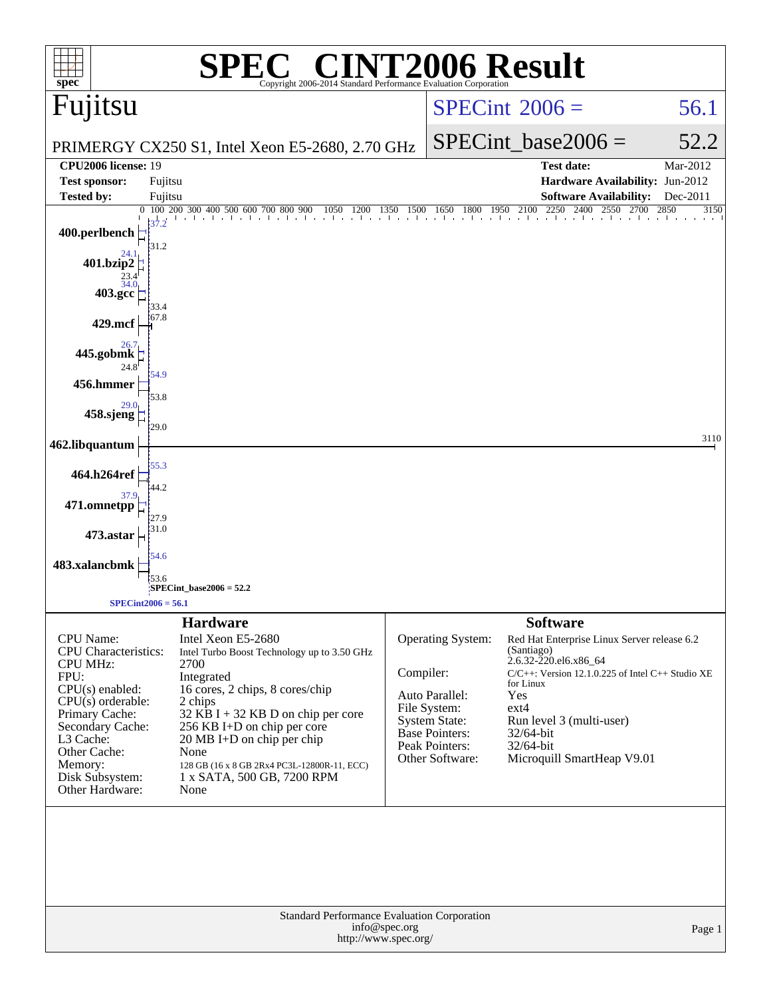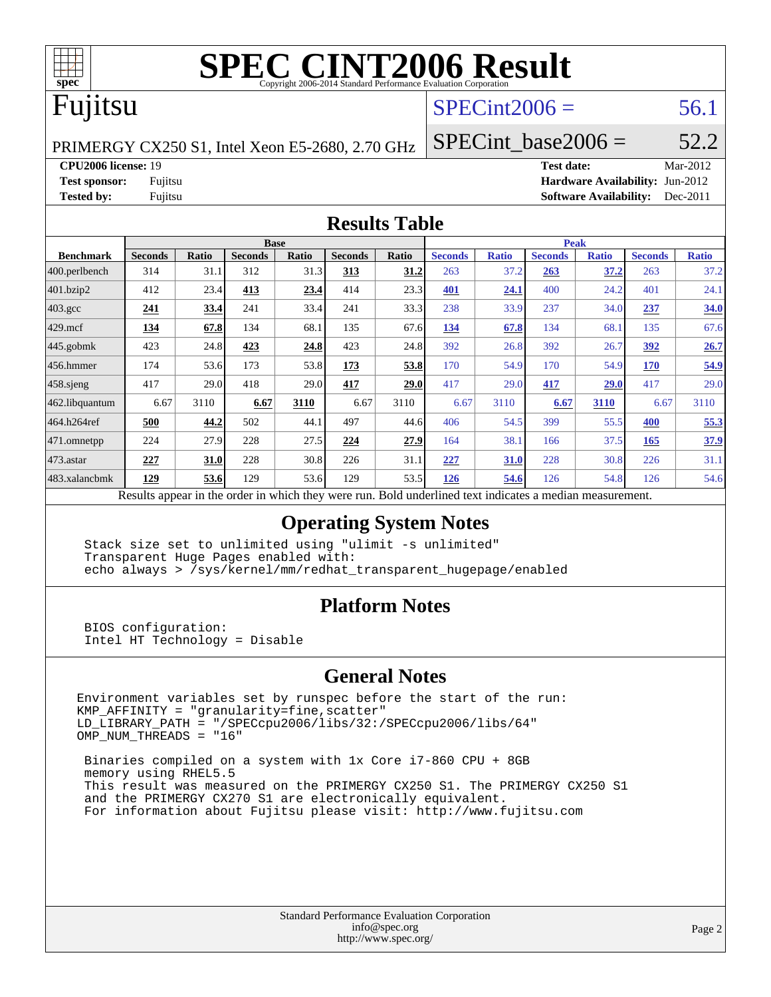

# Fujitsu

## $SPECint2006 = 56.1$  $SPECint2006 = 56.1$

PRIMERGY CX250 S1, Intel Xeon E5-2680, 2.70 GHz

SPECint base2006 =  $52.2$ 

**[CPU2006 license:](http://www.spec.org/auto/cpu2006/Docs/result-fields.html#CPU2006license)** 19 **[Test date:](http://www.spec.org/auto/cpu2006/Docs/result-fields.html#Testdate)** Mar-2012

**[Test sponsor:](http://www.spec.org/auto/cpu2006/Docs/result-fields.html#Testsponsor)** Fujitsu **[Hardware Availability:](http://www.spec.org/auto/cpu2006/Docs/result-fields.html#HardwareAvailability)** Jun-2012 **[Tested by:](http://www.spec.org/auto/cpu2006/Docs/result-fields.html#Testedby)** Fujitsu **[Software Availability:](http://www.spec.org/auto/cpu2006/Docs/result-fields.html#SoftwareAvailability)** Dec-2011

#### **[Results Table](http://www.spec.org/auto/cpu2006/Docs/result-fields.html#ResultsTable)**

|                    | <b>Base</b>                                                                                              |              |                |       |                |       | <b>Peak</b>    |              |                |              |                |              |  |
|--------------------|----------------------------------------------------------------------------------------------------------|--------------|----------------|-------|----------------|-------|----------------|--------------|----------------|--------------|----------------|--------------|--|
| <b>Benchmark</b>   | <b>Seconds</b>                                                                                           | <b>Ratio</b> | <b>Seconds</b> | Ratio | <b>Seconds</b> | Ratio | <b>Seconds</b> | <b>Ratio</b> | <b>Seconds</b> | <b>Ratio</b> | <b>Seconds</b> | <b>Ratio</b> |  |
| 400.perlbench      | 314                                                                                                      | 31.1         | 312            | 31.3  | 313            | 31.2  | 263            | 37.2         | 263            | 37.2         | 263            | 37.2         |  |
| 401.bzip2          | 412                                                                                                      | 23.4         | 413            | 23.4  | 414            | 23.3  | 401            | 24.1         | 400            | 24.2         | 401            | 24.1         |  |
| $403.\mathrm{gcc}$ | <u>241</u>                                                                                               | 33.4         | 241            | 33.4  | 241            | 33.3  | 238            | 33.9         | 237            | 34.0         | 237            | 34.0         |  |
| $429$ mcf          | 134                                                                                                      | 67.8         | 134            | 68.1  | 135            | 67.6  | 134            | 67.8         | 134            | 68.1         | 135            | 67.6         |  |
| $445$ .gobmk       | 423                                                                                                      | 24.8         | 423            | 24.8  | 423            | 24.8  | 392            | 26.8         | 392            | 26.7         | 392            | 26.7         |  |
| $456.$ hmmer       | 174                                                                                                      | 53.6         | 173            | 53.8  | 173            | 53.8  | 170            | 54.9         | 170            | 54.9         | 170            | 54.9         |  |
| $458$ .sjeng       | 417                                                                                                      | 29.0         | 418            | 29.0  | 417            | 29.0  | 417            | 29.0         | 417            | 29.0         | 417            | 29.0         |  |
| 462.libquantum     | 6.67                                                                                                     | 3110         | 6.67           | 3110  | 6.67           | 3110  | 6.67           | 3110         | 6.67           | 3110         | 6.67           | 3110         |  |
| 464.h264ref        | 500                                                                                                      | 44.2         | 502            | 44.1  | 497            | 44.6  | 406            | 54.5         | 399            | 55.5         | 400            | 55.3         |  |
| 471.omnetpp        | 224                                                                                                      | 27.9         | 228            | 27.5  | 224            | 27.9  | 164            | 38.1         | 166            | 37.5         | 165            | 37.9         |  |
| $473$ . astar      | 227                                                                                                      | 31.0         | 228            | 30.8  | 226            | 31.1  | 227            | <b>31.0</b>  | 228            | 30.8         | 226            | 31.1         |  |
| 483.xalancbmk      | 129                                                                                                      | 53.6         | 129            | 53.6  | 129            | 53.5  | 126            | 54.6         | 126            | 54.8         | 126            | 54.6         |  |
|                    | Results appear in the order in which they were run. Bold underlined text indicates a median measurement. |              |                |       |                |       |                |              |                |              |                |              |  |

#### **[Operating System Notes](http://www.spec.org/auto/cpu2006/Docs/result-fields.html#OperatingSystemNotes)**

 Stack size set to unlimited using "ulimit -s unlimited" Transparent Huge Pages enabled with: echo always > /sys/kernel/mm/redhat\_transparent\_hugepage/enabled

#### **[Platform Notes](http://www.spec.org/auto/cpu2006/Docs/result-fields.html#PlatformNotes)**

 BIOS configuration: Intel HT Technology = Disable

#### **[General Notes](http://www.spec.org/auto/cpu2006/Docs/result-fields.html#GeneralNotes)**

Environment variables set by runspec before the start of the run: KMP\_AFFINITY = "granularity=fine,scatter" LD\_LIBRARY\_PATH = "/SPECcpu2006/libs/32:/SPECcpu2006/libs/64" OMP\_NUM\_THREADS = "16"

 Binaries compiled on a system with 1x Core i7-860 CPU + 8GB memory using RHEL5.5 This result was measured on the PRIMERGY CX250 S1. The PRIMERGY CX250 S1 and the PRIMERGY CX270 S1 are electronically equivalent. For information about Fujitsu please visit: <http://www.fujitsu.com>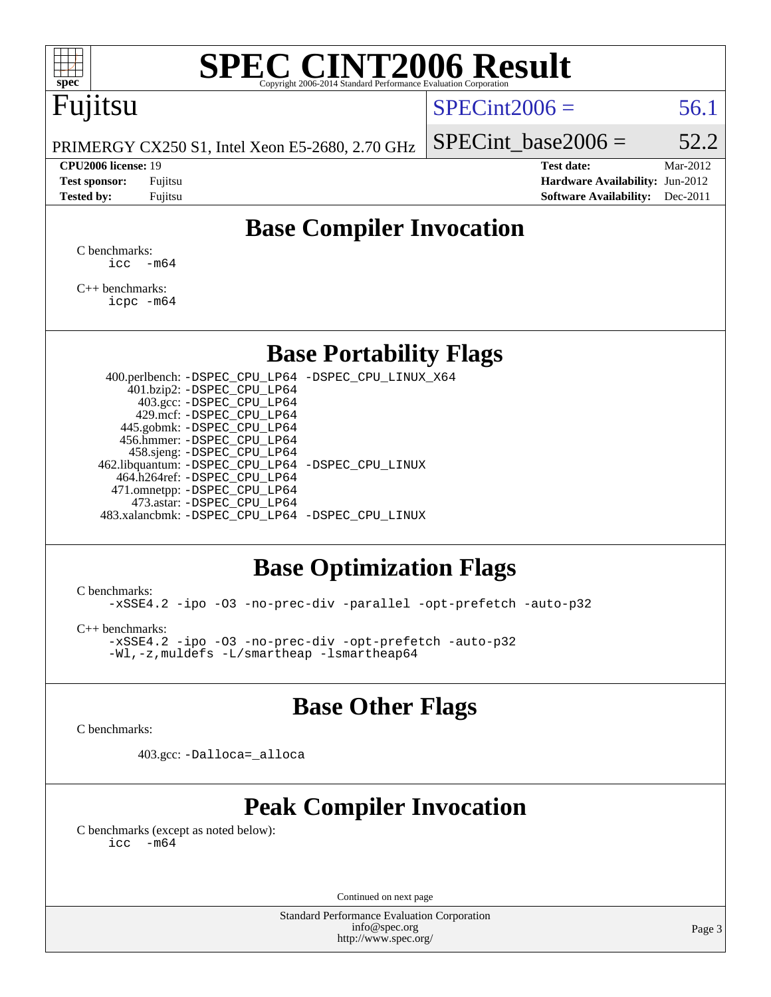

# Fujitsu

### $SPECint2006 = 56.1$  $SPECint2006 = 56.1$

PRIMERGY CX250 S1, Intel Xeon E5-2680, 2.70 GHz

SPECint base2006 =  $52.2$ 

**[CPU2006 license:](http://www.spec.org/auto/cpu2006/Docs/result-fields.html#CPU2006license)** 19 **[Test date:](http://www.spec.org/auto/cpu2006/Docs/result-fields.html#Testdate)** Mar-2012 **[Test sponsor:](http://www.spec.org/auto/cpu2006/Docs/result-fields.html#Testsponsor)** Fujitsu **[Hardware Availability:](http://www.spec.org/auto/cpu2006/Docs/result-fields.html#HardwareAvailability)** Jun-2012 **[Tested by:](http://www.spec.org/auto/cpu2006/Docs/result-fields.html#Testedby)** Fujitsu **Fugital Example 2011 [Software Availability:](http://www.spec.org/auto/cpu2006/Docs/result-fields.html#SoftwareAvailability)** Dec-2011

## **[Base Compiler Invocation](http://www.spec.org/auto/cpu2006/Docs/result-fields.html#BaseCompilerInvocation)**

[C benchmarks](http://www.spec.org/auto/cpu2006/Docs/result-fields.html#Cbenchmarks):  $\text{icc}$   $-\text{m64}$ 

[C++ benchmarks:](http://www.spec.org/auto/cpu2006/Docs/result-fields.html#CXXbenchmarks) [icpc -m64](http://www.spec.org/cpu2006/results/res2012q3/cpu2006-20120605-22807.flags.html#user_CXXbase_intel_icpc_64bit_fc66a5337ce925472a5c54ad6a0de310)

### **[Base Portability Flags](http://www.spec.org/auto/cpu2006/Docs/result-fields.html#BasePortabilityFlags)**

 400.perlbench: [-DSPEC\\_CPU\\_LP64](http://www.spec.org/cpu2006/results/res2012q3/cpu2006-20120605-22807.flags.html#b400.perlbench_basePORTABILITY_DSPEC_CPU_LP64) [-DSPEC\\_CPU\\_LINUX\\_X64](http://www.spec.org/cpu2006/results/res2012q3/cpu2006-20120605-22807.flags.html#b400.perlbench_baseCPORTABILITY_DSPEC_CPU_LINUX_X64) 401.bzip2: [-DSPEC\\_CPU\\_LP64](http://www.spec.org/cpu2006/results/res2012q3/cpu2006-20120605-22807.flags.html#suite_basePORTABILITY401_bzip2_DSPEC_CPU_LP64) 403.gcc: [-DSPEC\\_CPU\\_LP64](http://www.spec.org/cpu2006/results/res2012q3/cpu2006-20120605-22807.flags.html#suite_basePORTABILITY403_gcc_DSPEC_CPU_LP64) 429.mcf: [-DSPEC\\_CPU\\_LP64](http://www.spec.org/cpu2006/results/res2012q3/cpu2006-20120605-22807.flags.html#suite_basePORTABILITY429_mcf_DSPEC_CPU_LP64) 445.gobmk: [-DSPEC\\_CPU\\_LP64](http://www.spec.org/cpu2006/results/res2012q3/cpu2006-20120605-22807.flags.html#suite_basePORTABILITY445_gobmk_DSPEC_CPU_LP64) 456.hmmer: [-DSPEC\\_CPU\\_LP64](http://www.spec.org/cpu2006/results/res2012q3/cpu2006-20120605-22807.flags.html#suite_basePORTABILITY456_hmmer_DSPEC_CPU_LP64) 458.sjeng: [-DSPEC\\_CPU\\_LP64](http://www.spec.org/cpu2006/results/res2012q3/cpu2006-20120605-22807.flags.html#suite_basePORTABILITY458_sjeng_DSPEC_CPU_LP64) 462.libquantum: [-DSPEC\\_CPU\\_LP64](http://www.spec.org/cpu2006/results/res2012q3/cpu2006-20120605-22807.flags.html#suite_basePORTABILITY462_libquantum_DSPEC_CPU_LP64) [-DSPEC\\_CPU\\_LINUX](http://www.spec.org/cpu2006/results/res2012q3/cpu2006-20120605-22807.flags.html#b462.libquantum_baseCPORTABILITY_DSPEC_CPU_LINUX) 464.h264ref: [-DSPEC\\_CPU\\_LP64](http://www.spec.org/cpu2006/results/res2012q3/cpu2006-20120605-22807.flags.html#suite_basePORTABILITY464_h264ref_DSPEC_CPU_LP64) 471.omnetpp: [-DSPEC\\_CPU\\_LP64](http://www.spec.org/cpu2006/results/res2012q3/cpu2006-20120605-22807.flags.html#suite_basePORTABILITY471_omnetpp_DSPEC_CPU_LP64) 473.astar: [-DSPEC\\_CPU\\_LP64](http://www.spec.org/cpu2006/results/res2012q3/cpu2006-20120605-22807.flags.html#suite_basePORTABILITY473_astar_DSPEC_CPU_LP64) 483.xalancbmk: [-DSPEC\\_CPU\\_LP64](http://www.spec.org/cpu2006/results/res2012q3/cpu2006-20120605-22807.flags.html#suite_basePORTABILITY483_xalancbmk_DSPEC_CPU_LP64) [-DSPEC\\_CPU\\_LINUX](http://www.spec.org/cpu2006/results/res2012q3/cpu2006-20120605-22807.flags.html#b483.xalancbmk_baseCXXPORTABILITY_DSPEC_CPU_LINUX)

## **[Base Optimization Flags](http://www.spec.org/auto/cpu2006/Docs/result-fields.html#BaseOptimizationFlags)**

[C benchmarks](http://www.spec.org/auto/cpu2006/Docs/result-fields.html#Cbenchmarks):

[-xSSE4.2](http://www.spec.org/cpu2006/results/res2012q3/cpu2006-20120605-22807.flags.html#user_CCbase_f-xSSE42_f91528193cf0b216347adb8b939d4107) [-ipo](http://www.spec.org/cpu2006/results/res2012q3/cpu2006-20120605-22807.flags.html#user_CCbase_f-ipo) [-O3](http://www.spec.org/cpu2006/results/res2012q3/cpu2006-20120605-22807.flags.html#user_CCbase_f-O3) [-no-prec-div](http://www.spec.org/cpu2006/results/res2012q3/cpu2006-20120605-22807.flags.html#user_CCbase_f-no-prec-div) [-parallel](http://www.spec.org/cpu2006/results/res2012q3/cpu2006-20120605-22807.flags.html#user_CCbase_f-parallel) [-opt-prefetch](http://www.spec.org/cpu2006/results/res2012q3/cpu2006-20120605-22807.flags.html#user_CCbase_f-opt-prefetch) [-auto-p32](http://www.spec.org/cpu2006/results/res2012q3/cpu2006-20120605-22807.flags.html#user_CCbase_f-auto-p32)

[C++ benchmarks:](http://www.spec.org/auto/cpu2006/Docs/result-fields.html#CXXbenchmarks)

[-xSSE4.2](http://www.spec.org/cpu2006/results/res2012q3/cpu2006-20120605-22807.flags.html#user_CXXbase_f-xSSE42_f91528193cf0b216347adb8b939d4107) [-ipo](http://www.spec.org/cpu2006/results/res2012q3/cpu2006-20120605-22807.flags.html#user_CXXbase_f-ipo) [-O3](http://www.spec.org/cpu2006/results/res2012q3/cpu2006-20120605-22807.flags.html#user_CXXbase_f-O3) [-no-prec-div](http://www.spec.org/cpu2006/results/res2012q3/cpu2006-20120605-22807.flags.html#user_CXXbase_f-no-prec-div) [-opt-prefetch](http://www.spec.org/cpu2006/results/res2012q3/cpu2006-20120605-22807.flags.html#user_CXXbase_f-opt-prefetch) [-auto-p32](http://www.spec.org/cpu2006/results/res2012q3/cpu2006-20120605-22807.flags.html#user_CXXbase_f-auto-p32) [-Wl,-z,muldefs](http://www.spec.org/cpu2006/results/res2012q3/cpu2006-20120605-22807.flags.html#user_CXXbase_link_force_multiple1_74079c344b956b9658436fd1b6dd3a8a) [-L/smartheap -lsmartheap64](http://www.spec.org/cpu2006/results/res2012q3/cpu2006-20120605-22807.flags.html#user_CXXbase_SmartHeap64_5e654037dadeae1fe403ab4b4466e60b)

### **[Base Other Flags](http://www.spec.org/auto/cpu2006/Docs/result-fields.html#BaseOtherFlags)**

[C benchmarks](http://www.spec.org/auto/cpu2006/Docs/result-fields.html#Cbenchmarks):

403.gcc: [-Dalloca=\\_alloca](http://www.spec.org/cpu2006/results/res2012q3/cpu2006-20120605-22807.flags.html#b403.gcc_baseEXTRA_CFLAGS_Dalloca_be3056838c12de2578596ca5467af7f3)

## **[Peak Compiler Invocation](http://www.spec.org/auto/cpu2006/Docs/result-fields.html#PeakCompilerInvocation)**

[C benchmarks \(except as noted below\)](http://www.spec.org/auto/cpu2006/Docs/result-fields.html#Cbenchmarksexceptasnotedbelow):  $\text{icc}$  -m64

Continued on next page

Standard Performance Evaluation Corporation [info@spec.org](mailto:info@spec.org) <http://www.spec.org/>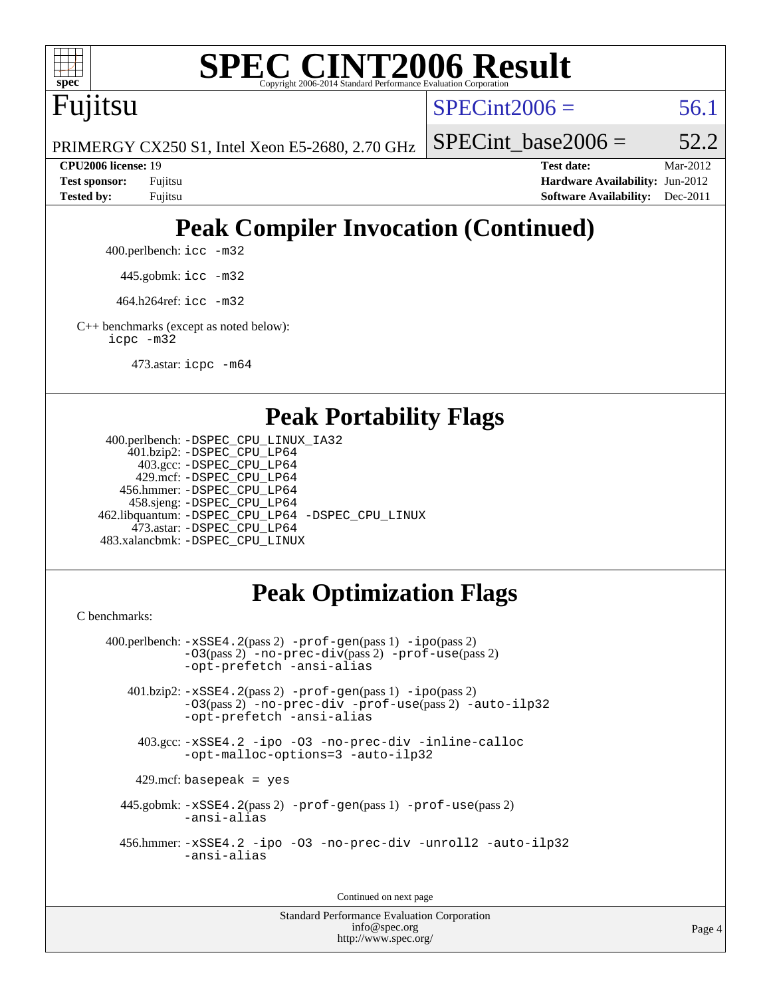

Fujitsu

 $SPECint2006 = 56.1$  $SPECint2006 = 56.1$ 

PRIMERGY CX250 S1, Intel Xeon E5-2680, 2.70 GHz

SPECint base2006 =  $52.2$ 

**[CPU2006 license:](http://www.spec.org/auto/cpu2006/Docs/result-fields.html#CPU2006license)** 19 **[Test date:](http://www.spec.org/auto/cpu2006/Docs/result-fields.html#Testdate)** Mar-2012 **[Test sponsor:](http://www.spec.org/auto/cpu2006/Docs/result-fields.html#Testsponsor)** Fujitsu **[Hardware Availability:](http://www.spec.org/auto/cpu2006/Docs/result-fields.html#HardwareAvailability)** Jun-2012 **[Tested by:](http://www.spec.org/auto/cpu2006/Docs/result-fields.html#Testedby)** Fujitsu **[Software Availability:](http://www.spec.org/auto/cpu2006/Docs/result-fields.html#SoftwareAvailability)** Dec-2011

# **[Peak Compiler Invocation \(Continued\)](http://www.spec.org/auto/cpu2006/Docs/result-fields.html#PeakCompilerInvocation)**

400.perlbench: [icc -m32](http://www.spec.org/cpu2006/results/res2012q3/cpu2006-20120605-22807.flags.html#user_peakCCLD400_perlbench_intel_icc_a6a621f8d50482236b970c6ac5f55f93)

445.gobmk: [icc -m32](http://www.spec.org/cpu2006/results/res2012q3/cpu2006-20120605-22807.flags.html#user_peakCCLD445_gobmk_intel_icc_a6a621f8d50482236b970c6ac5f55f93)

464.h264ref: [icc -m32](http://www.spec.org/cpu2006/results/res2012q3/cpu2006-20120605-22807.flags.html#user_peakCCLD464_h264ref_intel_icc_a6a621f8d50482236b970c6ac5f55f93)

[C++ benchmarks \(except as noted below\):](http://www.spec.org/auto/cpu2006/Docs/result-fields.html#CXXbenchmarksexceptasnotedbelow) [icpc -m32](http://www.spec.org/cpu2006/results/res2012q3/cpu2006-20120605-22807.flags.html#user_CXXpeak_intel_icpc_4e5a5ef1a53fd332b3c49e69c3330699)

473.astar: [icpc -m64](http://www.spec.org/cpu2006/results/res2012q3/cpu2006-20120605-22807.flags.html#user_peakCXXLD473_astar_intel_icpc_64bit_fc66a5337ce925472a5c54ad6a0de310)

### **[Peak Portability Flags](http://www.spec.org/auto/cpu2006/Docs/result-fields.html#PeakPortabilityFlags)**

```
 400.perlbench: -DSPEC_CPU_LINUX_IA32
    401.bzip2: -DSPEC_CPU_LP64
      403.gcc: -DSPEC_CPU_LP64
     429.mcf: -DSPEC_CPU_LP64
   456.hmmer: -DSPEC_CPU_LP64
    458.sjeng: -DSPEC_CPU_LP64
462.libquantum: -DSPEC_CPU_LP64 -DSPEC_CPU_LINUX
     473.astar: -DSPEC_CPU_LP64
483.xalancbmk: -DSPEC_CPU_LINUX
```
# **[Peak Optimization Flags](http://www.spec.org/auto/cpu2006/Docs/result-fields.html#PeakOptimizationFlags)**

[C benchmarks](http://www.spec.org/auto/cpu2006/Docs/result-fields.html#Cbenchmarks):

```
 400.perlbench: -xSSE4.2(pass 2) -prof-gen(pass 1) -ipo(pass 2)
           -O3(pass 2) -no-prec-div(pass 2) -prof-use(pass 2)
          -opt-prefetch -ansi-alias
   401.bzip2: -xSSE4.2(pass 2) -prof-gen(pass 1) -ipo(pass 2)
           -O3(pass 2) -no-prec-div -prof-use(pass 2) -auto-ilp32
           -opt-prefetch -ansi-alias
    403.gcc: -xSSE4.2 -ipo -O3 -no-prec-div -inline-calloc
           -opt-malloc-options=3 -auto-ilp32
   429.mcf: basepeak = yes
  445.gobmk: -xSSE4.2(pass 2) -prof-gen(pass 1) -prof-use(pass 2)
           -ansi-alias
  456.hmmer: -xSSE4.2 -ipo -O3 -no-prec-div -unroll2 -auto-ilp32
           -ansi-alias
```
Continued on next page

```
Standard Performance Evaluation Corporation
             info@spec.org
          http://www.spec.org/
```